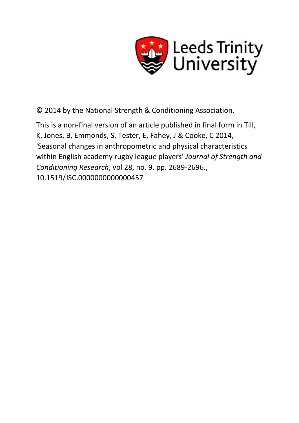

© 2014 by the National Strength & Conditioning Association.

This is a non-final version of an article published in final form in Till, K, Jones, B, Emmonds, S, Tester, E, Fahey, J & Cooke, C 2014, 'Seasonal changes in anthropometric and physical characteristics within English academy rugby league players' *Journal of Strength and Conditioning Research*, vol 28, no. 9, pp. 2689-2696., 10.1519/JSC.0000000000000457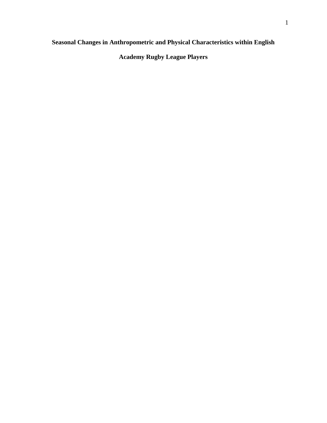# **Seasonal Changes in Anthropometric and Physical Characteristics within English**

**Academy Rugby League Players**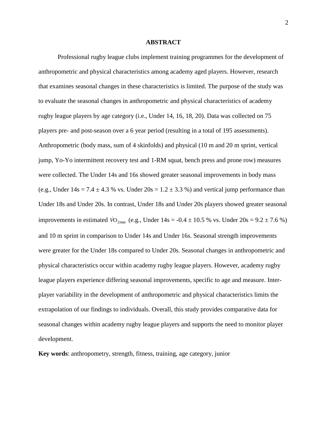# **ABSTRACT**

Professional rugby league clubs implement training programmes for the development of anthropometric and physical characteristics among academy aged players. However, research that examines seasonal changes in these characteristics is limited. The purpose of the study was to evaluate the seasonal changes in anthropometric and physical characteristics of academy rugby league players by age category (i.e., Under 14, 16, 18, 20). Data was collected on 75 players pre- and post-season over a 6 year period (resulting in a total of 195 assessments). Anthropometric (body mass, sum of 4 skinfolds) and physical (10 m and 20 m sprint, vertical jump, Yo-Yo intermittent recovery test and 1-RM squat, bench press and prone row) measures were collected. The Under 14s and 16s showed greater seasonal improvements in body mass (e.g., Under  $14s = 7.4 \pm 4.3$  % vs. Under  $20s = 1.2 \pm 3.3$  %) and vertical jump performance than Under 18s and Under 20s. In contrast, Under 18s and Under 20s players showed greater seasonal improvements in estimated  $\dot{V}O_{2\text{max}}$  (e.g., Under 14s = -0.4  $\pm$  10.5 % vs. Under 20s = 9.2  $\pm$  7.6 %) and 10 m sprint in comparison to Under 14s and Under 16s. Seasonal strength improvements were greater for the Under 18s compared to Under 20s. Seasonal changes in anthropometric and physical characteristics occur within academy rugby league players. However, academy rugby league players experience differing seasonal improvements, specific to age and measure. Interplayer variability in the development of anthropometric and physical characteristics limits the extrapolation of our findings to individuals. Overall, this study provides comparative data for seasonal changes within academy rugby league players and supports the need to monitor player development.

**Key words**: anthropometry, strength, fitness, training, age category, junior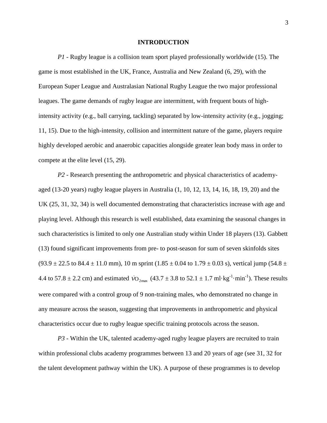# **INTRODUCTION**

*P1 -* Rugby league is a collision team sport played professionally worldwide (15). The game is most established in the UK, France, Australia and New Zealand (6, 29), with the European Super League and Australasian National Rugby League the two major professional leagues. The game demands of rugby league are intermittent, with frequent bouts of highintensity activity (e.g., ball carrying, tackling) separated by low-intensity activity (e.g., jogging; 11, 15). Due to the high-intensity, collision and intermittent nature of the game, players require highly developed aerobic and anaerobic capacities alongside greater lean body mass in order to compete at the elite level (15, 29).

*P2* - Research presenting the anthropometric and physical characteristics of academyaged (13-20 years) rugby league players in Australia (1, 10, 12, 13, 14, 16, 18, 19, 20) and the UK (25, 31, 32, 34) is well documented demonstrating that characteristics increase with age and playing level. Although this research is well established, data examining the seasonal changes in such characteristics is limited to only one Australian study within Under 18 players (13). Gabbett (13) found significant improvements from pre- to post-season for sum of seven skinfolds sites  $(93.9 \pm 22.5 \text{ to } 84.4 \pm 11.0 \text{ mm})$ , 10 m sprint  $(1.85 \pm 0.04 \text{ to } 1.79 \pm 0.03 \text{ s})$ , vertical jump  $(54.8 \pm 1.0 \text{ mm})$ 4.4 to 57.8  $\pm$  2.2 cm) and estimated  $\dot{V}O_{2\text{max}}$  (43.7  $\pm$  3.8 to 52.1  $\pm$  1.7 ml·kg<sup>-1</sup>·min<sup>-1</sup>). These results were compared with a control group of 9 non-training males, who demonstrated no change in any measure across the season, suggesting that improvements in anthropometric and physical characteristics occur due to rugby league specific training protocols across the season.

*P3 -* Within the UK, talented academy-aged rugby league players are recruited to train within professional clubs academy programmes between 13 and 20 years of age (see 31, 32 for the talent development pathway within the UK). A purpose of these programmes is to develop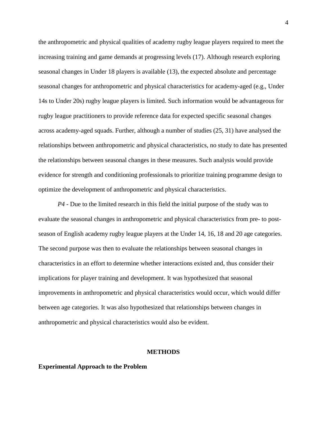the anthropometric and physical qualities of academy rugby league players required to meet the increasing training and game demands at progressing levels (17). Although research exploring seasonal changes in Under 18 players is available (13), the expected absolute and percentage seasonal changes for anthropometric and physical characteristics for academy-aged (e.g., Under 14s to Under 20s) rugby league players is limited. Such information would be advantageous for rugby league practitioners to provide reference data for expected specific seasonal changes across academy-aged squads. Further, although a number of studies (25, 31) have analysed the relationships between anthropometric and physical characteristics, no study to date has presented the relationships between seasonal changes in these measures. Such analysis would provide evidence for strength and conditioning professionals to prioritize training programme design to optimize the development of anthropometric and physical characteristics.

*P4* - Due to the limited research in this field the initial purpose of the study was to evaluate the seasonal changes in anthropometric and physical characteristics from pre- to postseason of English academy rugby league players at the Under 14, 16, 18 and 20 age categories. The second purpose was then to evaluate the relationships between seasonal changes in characteristics in an effort to determine whether interactions existed and, thus consider their implications for player training and development. It was hypothesized that seasonal improvements in anthropometric and physical characteristics would occur, which would differ between age categories. It was also hypothesized that relationships between changes in anthropometric and physical characteristics would also be evident.

# **METHODS**

#### **Experimental Approach to the Problem**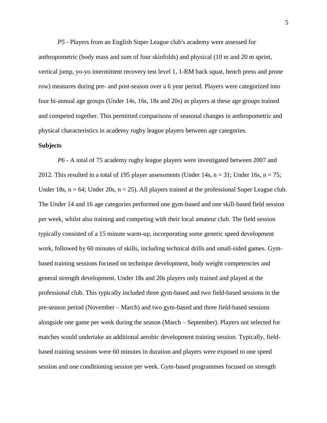*P5 -* Players from an English Super League club's academy were assessed for anthropometric (body mass and sum of four skinfolds) and physical (10 m and 20 m sprint, vertical jump, yo-yo intermittent recovery test level 1, 1-RM back squat, bench press and prone row) measures during pre- and post-season over a 6 year period. Players were categorized into four bi-annual age groups (Under 14s, 16s, 18s and 20s) as players at these age groups trained and competed together. This permitted comparisons of seasonal changes in anthropometric and physical characteristics in academy rugby league players between age categories.

# **Subjects**

*P6 -* A total of 75 academy rugby league players were investigated between 2007 and 2012. This resulted in a total of 195 player assessments (Under 14s,  $n = 31$ ; Under 16s,  $n = 75$ ; Under 18s,  $n = 64$ ; Under 20s,  $n = 25$ ). All players trained at the professional Super League club. The Under 14 and 16 age categories performed one gym-based and one skill-based field session per week, whilst also training and competing with their local amateur club. The field session typically consisted of a 15 minute warm-up, incorporating some generic speed development work, followed by 60 minutes of skills, including technical drills and small-sided games. Gymbased training sessions focused on technique development, body weight competencies and general strength development. Under 18s and 20s players only trained and played at the professional club. This typically included three gym-based and two field-based sessions in the pre-season period (November – March) and two gym-based and three field-based sessions alongside one game per week during the season (March – September). Players not selected for matches would undertake an additional aerobic development training session. Typically, fieldbased training sessions were 60 minutes in duration and players were exposed to one speed session and one conditioning session per week. Gym-based programmes focused on strength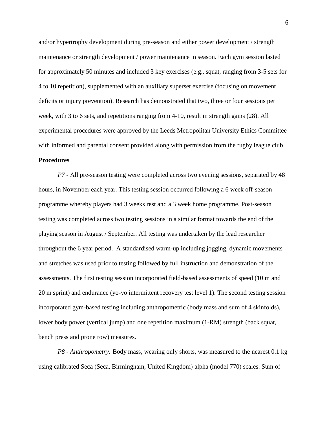and/or hypertrophy development during pre-season and either power development / strength maintenance or strength development / power maintenance in season. Each gym session lasted for approximately 50 minutes and included 3 key exercises (e.g., squat, ranging from 3-5 sets for 4 to 10 repetition), supplemented with an auxiliary superset exercise (focusing on movement deficits or injury prevention). Research has demonstrated that two, three or four sessions per week, with 3 to 6 sets, and repetitions ranging from 4-10, result in strength gains (28). All experimental procedures were approved by the Leeds Metropolitan University Ethics Committee with informed and parental consent provided along with permission from the rugby league club. **Procedures**

*P7 -* All pre-season testing were completed across two evening sessions, separated by 48 hours, in November each year. This testing session occurred following a 6 week off-season programme whereby players had 3 weeks rest and a 3 week home programme. Post-season testing was completed across two testing sessions in a similar format towards the end of the playing season in August / September. All testing was undertaken by the lead researcher throughout the 6 year period. A standardised warm-up including jogging, dynamic movements and stretches was used prior to testing followed by full instruction and demonstration of the assessments. The first testing session incorporated field-based assessments of speed (10 m and 20 m sprint) and endurance (yo-yo intermittent recovery test level 1). The second testing session incorporated gym-based testing including anthropometric (body mass and sum of 4 skinfolds), lower body power (vertical jump) and one repetition maximum (1-RM) strength (back squat, bench press and prone row) measures.

*P8 - Anthropometry:* Body mass, wearing only shorts, was measured to the nearest 0.1 kg using calibrated Seca (Seca, Birmingham, United Kingdom) alpha (model 770) scales. Sum of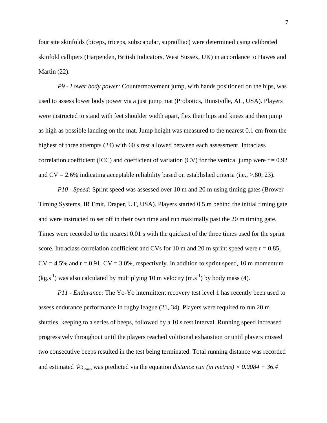four site skinfolds (biceps, triceps, subscapular, suprailliac) were determined using calibrated skinfold callipers (Harpenden, British Indicators, West Sussex, UK) in accordance to Hawes and Martin (22).

*P9 - Lower body power:* Countermovement jump, with hands positioned on the hips, was used to assess lower body power via a just jump mat (Probotics, Hunstville, AL, USA). Players were instructed to stand with feet shoulder width apart, flex their hips and knees and then jump as high as possible landing on the mat. Jump height was measured to the nearest 0.1 cm from the highest of three attempts (24) with 60 s rest allowed between each assessment. Intraclass correlation coefficient (ICC) and coefficient of variation (CV) for the vertical jump were  $r = 0.92$ and  $CV = 2.6\%$  indicating acceptable reliability based on established criteria (i.e.,  $> 80; 23$ ).

*P10 - Speed:* Sprint speed was assessed over 10 m and 20 m using timing gates (Brower Timing Systems, IR Emit, Draper, UT, USA). Players started 0.5 m behind the initial timing gate and were instructed to set off in their own time and run maximally past the 20 m timing gate. Times were recorded to the nearest 0.01 s with the quickest of the three times used for the sprint score. Intraclass correlation coefficient and CVs for 10 m and 20 m sprint speed were  $r = 0.85$ ,  $CV = 4.5\%$  and  $r = 0.91$ ,  $CV = 3.0\%$ , respectively. In addition to sprint speed, 10 m momentum  $(kg.s<sup>-1</sup>)$  was also calculated by multiplying 10 m velocity  $(m.s<sup>-1</sup>)$  by body mass (4).

*P11 - Endurance:* The Yo-Yo intermittent recovery test level 1 has recently been used to assess endurance performance in rugby league (21, 34). Players were required to run 20 m shuttles, keeping to a series of beeps, followed by a 10 s rest interval. Running speed increased progressively throughout until the players reached volitional exhaustion or until players missed two consecutive beeps resulted in the test being terminated. Total running distance was recorded and estimated  $\dot{V}O_{2\text{max}}$  was predicted via the equation *distance run (in metres)*  $\times$  0.0084 + 36.4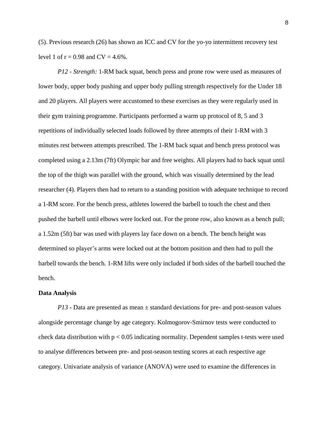(5). Previous research (26) has shown an ICC and CV for the yo-yo intermittent recovery test level 1 of  $r = 0.98$  and  $CV = 4.6\%$ .

*P12 - Strength:* 1-RM back squat, bench press and prone row were used as measures of lower body, upper body pushing and upper body pulling strength respectively for the Under 18 and 20 players. All players were accustomed to these exercises as they were regularly used in their gym training programme. Participants performed a warm up protocol of 8, 5 and 3 repetitions of individually selected loads followed by three attempts of their 1-RM with 3 minutes rest between attempts prescribed. The 1-RM back squat and bench press protocol was completed using a 2.13m (7ft) Olympic bar and free weights. All players had to back squat until the top of the thigh was parallel with the ground, which was visually determined by the lead researcher (4). Players then had to return to a standing position with adequate technique to record a 1-RM score. For the bench press, athletes lowered the barbell to touch the chest and then pushed the barbell until elbows were locked out. For the prone row, also known as a bench pull; a 1.52m (5ft) bar was used with players lay face down on a bench. The bench height was determined so player's arms were locked out at the bottom position and then had to pull the barbell towards the bench. 1-RM lifts were only included if both sides of the barbell touched the bench.

# **Data Analysis**

*P13 -* Data are presented as mean  $\pm$  standard deviations for pre- and post-season values alongside percentage change by age category. Kolmogorov-Smirnov tests were conducted to check data distribution with  $p < 0.05$  indicating normality. Dependent samples t-tests were used to analyse differences between pre- and post-season testing scores at each respective age category. Univariate analysis of variance (ANOVA) were used to examine the differences in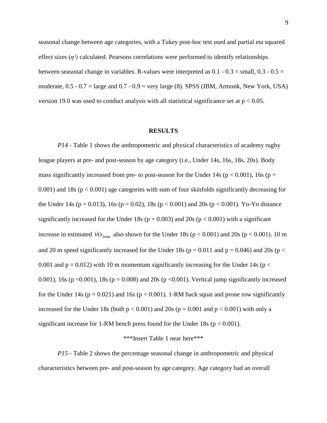seasonal change between age categories, with a Tukey post-hoc test used and partial eta squared effect sizes  $(\eta^2)$  calculated. Pearsons correlations were performed to identify relationships between seasonal change in variables. R-values were interpreted as  $0.1 - 0.3 = \text{small}$ ,  $0.3 - 0.5 =$ moderate,  $0.5 - 0.7 = \text{large}$  and  $0.7 - 0.9 = \text{very large}$  (8). SPSS (IBM, Armonk, New York, USA) version 19.0 was used to conduct analysis with all statistical significance set at  $p < 0.05$ .

#### **RESULTS**

*P14 -* Table 1 shows the anthropometric and physical characteristics of academy rugby league players at pre- and post-season by age category (i.e., Under 14s, 16s, 18s, 20s). Body mass significantly increased from pre- to post-season for the Under 14s ( $p < 0.001$ ), 16s ( $p <$ 0.001) and 18s ( $p < 0.001$ ) age categories with sum of four skinfolds significantly decreasing for the Under 14s ( $p = 0.013$ ), 16s ( $p = 0.02$ ), 18s ( $p < 0.001$ ) and 20s ( $p < 0.001$ ). Yo-Yo distance significantly increased for the Under 18s ( $p = 0.003$ ) and 20s ( $p < 0.001$ ) with a significant increase in estimated  $\dot{V}O_{2\text{max}}$  also shown for the Under 18s ( $p < 0.001$ ) and 20s ( $p < 0.001$ ). 10 m and 20 m speed significantly increased for the Under 18s ( $p = 0.011$  and  $p = 0.046$ ) and 20s ( $p <$ 0.001 and  $p = 0.012$ ) with 10 m momentum significantly increasing for the Under 14s ( $p <$ 0.001), 16s ( $p \le 0.001$ ), 18s ( $p = 0.008$ ) and 20s ( $p \le 0.001$ ). Vertical jump significantly increased for the Under 14s ( $p = 0.021$ ) and 16s ( $p < 0.001$ ). 1-RM back squat and prone row significantly increased for the Under 18s (both  $p < 0.001$ ) and 20s ( $p = 0.001$ ) and  $p < 0.001$ ) with only a significant increase for 1-RM bench press found for the Under 18s ( $p < 0.001$ ).

# \*\*\*Insert Table 1 near here\*\*\*

*P15 -* Table 2 shows the percentage seasonal change in anthropometric and physical characteristics between pre- and post-season by age category. Age category had an overall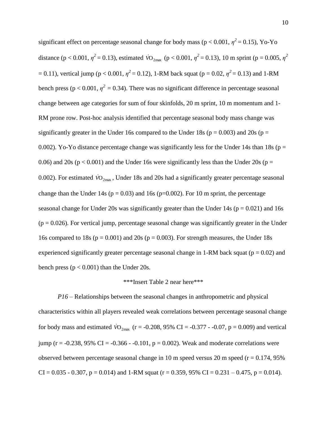significant effect on percentage seasonal change for body mass ( $p < 0.001$ ,  $\eta^2 = 0.15$ ), Yo-Yo distance ( $p < 0.001$ ,  $\eta^2 = 0.13$ ), estimated  $\dot{V}O_{2\text{max}}$  ( $p < 0.001$ ,  $\eta^2 = 0.13$ ), 10 m sprint ( $p = 0.005$ ,  $\eta^2$  $= 0.11$ ), vertical jump ( $p < 0.001$ ,  $\eta^2 = 0.12$ ), 1-RM back squat ( $p = 0.02$ ,  $\eta^2 = 0.13$ ) and 1-RM bench press ( $p < 0.001$ ,  $\eta^2 = 0.34$ ). There was no significant difference in percentage seasonal change between age categories for sum of four skinfolds, 20 m sprint, 10 m momentum and 1- RM prone row. Post-hoc analysis identified that percentage seasonal body mass change was significantly greater in the Under 16s compared to the Under 18s ( $p = 0.003$ ) and 20s ( $p =$ 0.002). Yo-Yo distance percentage change was significantly less for the Under 14s than 18s ( $p =$ 0.06) and 20s ( $p < 0.001$ ) and the Under 16s were significantly less than the Under 20s ( $p =$ 0.002). For estimated  $\rm{\dot{VO}_{2max}}$ , Under 18s and 20s had a significantly greater percentage seasonal change than the Under 14s ( $p = 0.03$ ) and 16s ( $p=0.002$ ). For 10 m sprint, the percentage seasonal change for Under 20s was significantly greater than the Under 14s ( $p = 0.021$ ) and 16s  $(p = 0.026)$ . For vertical jump, percentage seasonal change was significantly greater in the Under 16s compared to 18s ( $p = 0.001$ ) and 20s ( $p = 0.003$ ). For strength measures, the Under 18s experienced significantly greater percentage seasonal change in 1-RM back squat ( $p = 0.02$ ) and bench press ( $p < 0.001$ ) than the Under 20s.

# \*\*\*Insert Table 2 near here\*\*\*

*P16 –* Relationships between the seasonal changes in anthropometric and physical characteristics within all players revealed weak correlations between percentage seasonal change for body mass and estimated  $\dot{V}O_{2\text{max}}$  (r = -0.208, 95% CI = -0.377 - -0.07, p = 0.009) and vertical jump (r = -0.238, 95% CI = -0.366 - -0.101,  $p = 0.002$ ). Weak and moderate correlations were observed between percentage seasonal change in 10 m speed versus 20 m speed ( $r = 0.174$ , 95%)  $CI = 0.035 - 0.307$ ,  $p = 0.014$ ) and 1-RM squat ( $r = 0.359$ , 95%  $CI = 0.231 - 0.475$ ,  $p = 0.014$ ).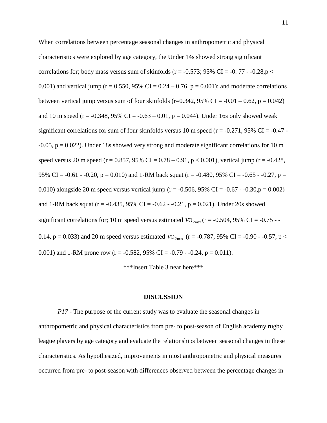When correlations between percentage seasonal changes in anthropometric and physical characteristics were explored by age category, the Under 14s showed strong significant correlations for; body mass versus sum of skinfolds ( $r = -0.573$ ; 95% CI =  $-0.77 - -0.28$ ,  $p <$ 0.001) and vertical jump ( $r = 0.550$ , 95% CI = 0.24 – 0.76, p = 0.001); and moderate correlations between vertical jump versus sum of four skinfolds (r=0.342, 95% CI =  $-0.01 - 0.62$ , p = 0.042) and 10 m speed (r =  $-0.348$ , 95% CI =  $-0.63 - 0.01$ , p = 0.044). Under 16s only showed weak significant correlations for sum of four skinfolds versus 10 m speed ( $r = -0.271$ , 95% CI = -0.47 - $-0.05$ ,  $p = 0.022$ ). Under 18s showed very strong and moderate significant correlations for 10 m speed versus 20 m speed (r = 0.857, 95% CI = 0.78 – 0.91, p < 0.001), vertical jump (r = -0.428, 95% CI =  $-0.61 - 0.20$ , p = 0.010) and 1-RM back squat (r =  $-0.480$ , 95% CI =  $-0.65 - 0.27$ , p = 0.010) alongside 20 m speed versus vertical jump ( $r = -0.506$ , 95% CI =  $-0.67 - 0.30$ ,  $p = 0.002$ ) and 1-RM back squat ( $r = -0.435$ , 95% CI =  $-0.62 - 0.21$ , p = 0.021). Under 20s showed significant correlations for; 10 m speed versus estimated  $\dot{V}O_{2\text{max}}$  (r = -0.504, 95% CI = -0.75 - -0.14,  $p = 0.033$ ) and 20 m speed versus estimated  $\dot{V}O_{2\text{max}}$  ( $r = -0.787, 95\%$  CI =  $-0.90$  -  $-0.57, p <$ 0.001) and 1-RM prone row (r = -0.582, 95% CI = -0.79 - -0.24, p = 0.011).

\*\*\*Insert Table 3 near here\*\*\*

# **DISCUSSION**

*P17 -* The purpose of the current study was to evaluate the seasonal changes in anthropometric and physical characteristics from pre- to post-season of English academy rugby league players by age category and evaluate the relationships between seasonal changes in these characteristics. As hypothesized, improvements in most anthropometric and physical measures occurred from pre- to post-season with differences observed between the percentage changes in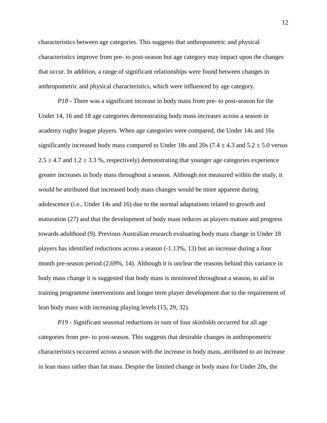characteristics between age categories. This suggests that anthropometric and physical characteristics improve from pre- to post-season but age category may impact upon the changes that occur. In addition, a range of significant relationships were found between changes in anthropometric and physical characteristics, which were influenced by age category.

*P18 -* There was a significant increase in body mass from pre- to post-season for the Under 14, 16 and 18 age categories demonstrating body mass increases across a season in academy rugby league players. When age categories were compared, the Under 14s and 16s significantly increased body mass compared to Under 18s and 20s (7.4  $\pm$  4.3 and 5.2  $\pm$  5.0 versus  $2.5 \pm 4.7$  and  $1.2 \pm 3.3$  %, respectively) demonstrating that younger age categories experience greater increases in body mass throughout a season. Although not measured within the study, it would be attributed that increased body mass changes would be more apparent during adolescence (i.e., Under 14s and 16) due to the normal adaptations related to growth and maturation (27) and that the development of body mass reduces as players mature and progress towards adulthood (9). Previous Australian research evaluating body mass change in Under 18 players has identified reductions across a season (-1.13%, 13) but an increase during a four month pre-season period (2.69%, 14). Although it is unclear the reasons behind this variance in body mass change it is suggested that body mass is monitored throughout a season, to aid in training programme interventions and longer term player development due to the requirement of lean body mass with increasing playing levels (15, 29, 32).

*P19 - S*ignificant seasonal reductions in sum of four skinfolds occurred for all age categories from pre- to post-season. This suggests that desirable changes in anthropometric characteristics occurred across a season with the increase in body mass, attributed to an increase in lean mass rather than fat mass. Despite the limited change in body mass for Under 20s, the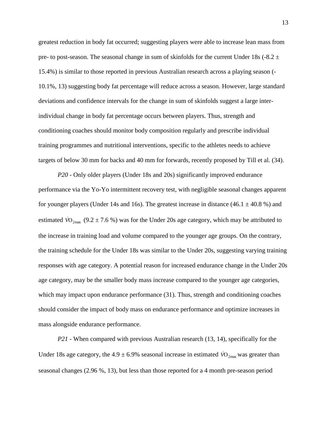greatest reduction in body fat occurred; suggesting players were able to increase lean mass from pre- to post-season. The seasonal change in sum of skinfolds for the current Under 18s (-8.2  $\pm$ 15.4%) is similar to those reported in previous Australian research across a playing season (- 10.1%, 13) suggesting body fat percentage will reduce across a season. However, large standard deviations and confidence intervals for the change in sum of skinfolds suggest a large interindividual change in body fat percentage occurs between players. Thus, strength and conditioning coaches should monitor body composition regularly and prescribe individual training programmes and nutritional interventions, specific to the athletes needs to achieve targets of below 30 mm for backs and 40 mm for forwards, recently proposed by Till et al. (34).

*P20 -* Only older players (Under 18s and 20s) significantly improved endurance performance via the Yo-Yo intermittent recovery test, with negligible seasonal changes apparent for younger players (Under 14s and 16s). The greatest increase in distance  $(46.1 \pm 40.8 \%)$  and estimated  $\dot{V}O_{2\text{max}}$  (9.2 ± 7.6 %) was for the Under 20s age category, which may be attributed to the increase in training load and volume compared to the younger age groups. On the contrary, the training schedule for the Under 18s was similar to the Under 20s, suggesting varying training responses with age category. A potential reason for increased endurance change in the Under 20s age category, may be the smaller body mass increase compared to the younger age categories, which may impact upon endurance performance (31). Thus, strength and conditioning coaches should consider the impact of body mass on endurance performance and optimize increases in mass alongside endurance performance.

*P21 -* When compared with previous Australian research (13, 14), specifically for the Under 18s age category, the  $4.9 \pm 6.9\%$  seasonal increase in estimated  $\dot{V}O_{2\text{max}}$  was greater than seasonal changes (2.96 %, 13), but less than those reported for a 4 month pre-season period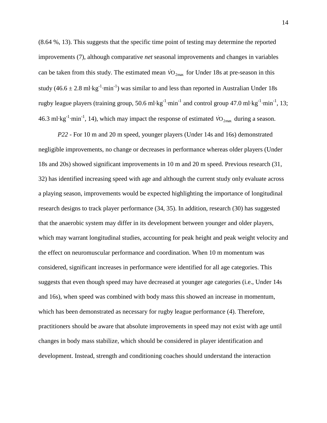(8.64 %, 13). This suggests that the specific time point of testing may determine the reported improvements (7), although comparative *net* seasonal improvements and changes in variables can be taken from this study. The estimated mean  $\dot{V}O_{2\text{max}}$  for Under 18s at pre-season in this study (46.6 ± 2.8 ml⋅kg<sup>-1</sup>⋅min<sup>-1</sup>) was similar to and less than reported in Australian Under 18s rugby league players (training group, 50.6 ml⋅kg<sup>-1</sup>⋅min<sup>-1</sup> and control group 47.0 ml⋅kg<sup>-1</sup>⋅min<sup>-1</sup>, 13; 46.3 ml⋅kg<sup>-1</sup>⋅min<sup>-1</sup>, 14), which may impact the response of estimated  $\dot{v}_{2\text{max}}$  during a season.

*P22 -* For 10 m and 20 m speed, younger players (Under 14s and 16s) demonstrated negligible improvements, no change or decreases in performance whereas older players (Under 18s and 20s) showed significant improvements in 10 m and 20 m speed. Previous research (31, 32) has identified increasing speed with age and although the current study only evaluate across a playing season, improvements would be expected highlighting the importance of longitudinal research designs to track player performance (34, 35). In addition, research (30) has suggested that the anaerobic system may differ in its development between younger and older players, which may warrant longitudinal studies, accounting for peak height and peak weight velocity and the effect on neuromuscular performance and coordination. When 10 m momentum was considered, significant increases in performance were identified for all age categories. This suggests that even though speed may have decreased at younger age categories (i.e., Under 14s and 16s), when speed was combined with body mass this showed an increase in momentum, which has been demonstrated as necessary for rugby league performance (4). Therefore, practitioners should be aware that absolute improvements in speed may not exist with age until changes in body mass stabilize, which should be considered in player identification and development. Instead, strength and conditioning coaches should understand the interaction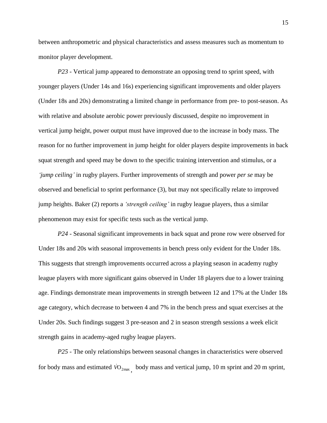between anthropometric and physical characteristics and assess measures such as momentum to monitor player development.

*P23 -* Vertical jump appeared to demonstrate an opposing trend to sprint speed, with younger players (Under 14s and 16s) experiencing significant improvements and older players (Under 18s and 20s) demonstrating a limited change in performance from pre- to post-season. As with relative and absolute aerobic power previously discussed, despite no improvement in vertical jump height, power output must have improved due to the increase in body mass. The reason for no further improvement in jump height for older players despite improvements in back squat strength and speed may be down to the specific training intervention and stimulus, or a *'jump ceiling'* in rugby players. Further improvements of strength and power *per se* may be observed and beneficial to sprint performance (3), but may not specifically relate to improved jump heights. Baker (2) reports a *'strength ceiling'* in rugby league players, thus a similar phenomenon may exist for specific tests such as the vertical jump.

*P24 -* Seasonal significant improvements in back squat and prone row were observed for Under 18s and 20s with seasonal improvements in bench press only evident for the Under 18s. This suggests that strength improvements occurred across a playing season in academy rugby league players with more significant gains observed in Under 18 players due to a lower training age. Findings demonstrate mean improvements in strength between 12 and 17% at the Under 18s age category, which decrease to between 4 and 7% in the bench press and squat exercises at the Under 20s. Such findings suggest 3 pre-season and 2 in season strength sessions a week elicit strength gains in academy-aged rugby league players.

*P25 -* The only relationships between seasonal changes in characteristics were observed for body mass and estimated  $\overline{VO}_{2\text{max}}$ , body mass and vertical jump, 10 m sprint and 20 m sprint,

15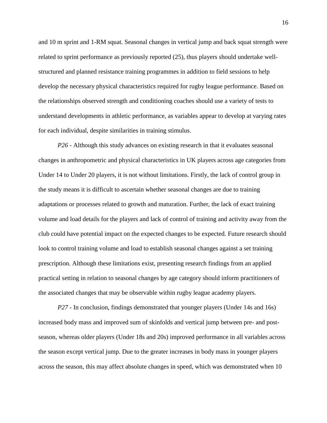and 10 m sprint and 1-RM squat. Seasonal changes in vertical jump and back squat strength were related to sprint performance as previously reported (25), thus players should undertake wellstructured and planned resistance training programmes in addition to field sessions to help develop the necessary physical characteristics required for rugby league performance. Based on the relationships observed strength and conditioning coaches should use a variety of tests to understand developments in athletic performance, as variables appear to develop at varying rates for each individual, despite similarities in training stimulus.

*P26 -* Although this study advances on existing research in that it evaluates seasonal changes in anthropometric and physical characteristics in UK players across age categories from Under 14 to Under 20 players, it is not without limitations. Firstly, the lack of control group in the study means it is difficult to ascertain whether seasonal changes are due to training adaptations or processes related to growth and maturation. Further, the lack of exact training volume and load details for the players and lack of control of training and activity away from the club could have potential impact on the expected changes to be expected. Future research should look to control training volume and load to establish seasonal changes against a set training prescription. Although these limitations exist, presenting research findings from an applied practical setting in relation to seasonal changes by age category should inform practitioners of the associated changes that may be observable within rugby league academy players.

*P27 -* In conclusion, findings demonstrated that younger players (Under 14s and 16s) increased body mass and improved sum of skinfolds and vertical jump between pre- and postseason, whereas older players (Under 18s and 20s) improved performance in all variables across the season except vertical jump. Due to the greater increases in body mass in younger players across the season, this may affect absolute changes in speed, which was demonstrated when 10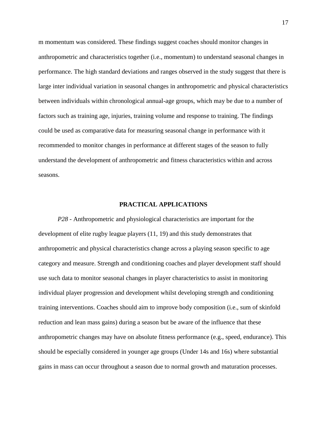m momentum was considered. These findings suggest coaches should monitor changes in anthropometric and characteristics together (i.e., momentum) to understand seasonal changes in performance. The high standard deviations and ranges observed in the study suggest that there is large inter individual variation in seasonal changes in anthropometric and physical characteristics between individuals within chronological annual-age groups, which may be due to a number of factors such as training age, injuries, training volume and response to training. The findings could be used as comparative data for measuring seasonal change in performance with it recommended to monitor changes in performance at different stages of the season to fully understand the development of anthropometric and fitness characteristics within and across seasons.

# **PRACTICAL APPLICATIONS**

*P28 -* Anthropometric and physiological characteristics are important for the development of elite rugby league players (11, 19) and this study demonstrates that anthropometric and physical characteristics change across a playing season specific to age category and measure. Strength and conditioning coaches and player development staff should use such data to monitor seasonal changes in player characteristics to assist in monitoring individual player progression and development whilst developing strength and conditioning training interventions. Coaches should aim to improve body composition (i.e., sum of skinfold reduction and lean mass gains) during a season but be aware of the influence that these anthropometric changes may have on absolute fitness performance (e.g., speed, endurance). This should be especially considered in younger age groups (Under 14s and 16s) where substantial gains in mass can occur throughout a season due to normal growth and maturation processes.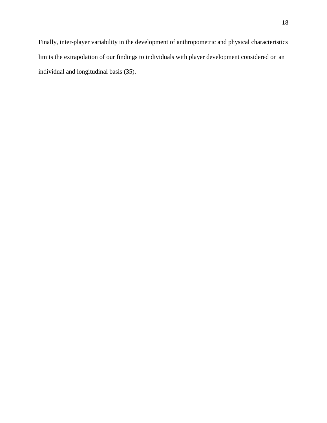Finally, inter-player variability in the development of anthropometric and physical characteristics limits the extrapolation of our findings to individuals with player development considered on an individual and longitudinal basis (35).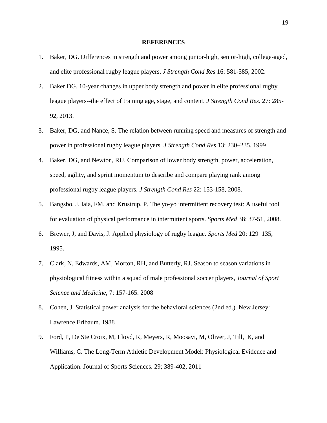# **REFERENCES**

- 1. Baker, DG. Differences in strength and power among junior-high, senior-high, college-aged, and elite professional rugby league players. *J Strength Cond Res* 16: 581-585, 2002.
- 2. [Baker DG.](http://www.ncbi.nlm.nih.gov/pubmed?term=Baker%20DG%5BAuthor%5D&cauthor=true&cauthor_uid=23358318) 10-year changes in upper body strength and power in elite professional rugby league players--the effect of training age, stage, and content*. [J Strength Cond Res.](http://www.ncbi.nlm.nih.gov/pubmed/23358318)* 27: 285- 92, 2013.
- 3. Baker, DG, and Nance, S. The relation between running speed and measures of strength and power in professional rugby league players. *J Strength Cond Res* 13: 230–235. 1999
- 4. Baker, DG, and Newton, RU. Comparison of lower body strength, power, acceleration, speed, agility, and sprint momentum to describe and compare playing rank among professional rugby league players. *J Strength Cond Res* 22: 153-158, 2008.
- 5. Bangsbo, J, Iaia, FM, and Krustrup, P. The yo-yo intermittent recovery test: A useful tool for evaluation of physical performance in intermittent sports. *Sports Med* 38: 37-51, 2008.
- 6. Brewer, J, and Davis, J. Applied physiology of rugby league. *Sports Med* 20: 129–135, 1995.
- 7. Clark, N, Edwards, AM, Morton, RH, and Butterly, RJ. Season to season variations in physiological fitness within a squad of male professional soccer players, *Journal of Sport Science and Medicine*, 7: 157-165. 2008
- 8. Cohen, J. Statistical power analysis for the behavioral sciences (2nd ed.). New Jersey: Lawrence Erlbaum. 1988
- 9. Ford, P, De Ste Croix, M, Lloyd, R, Meyers, R, Moosavi, M, Oliver, J, Till, K, and Williams, C. The Long-Term Athletic Development Model: Physiological Evidence and Application. Journal of Sports Sciences. 29; 389-402, 2011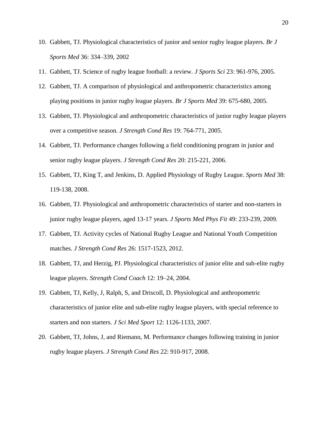- 10. Gabbett, TJ. Physiological characteristics of junior and senior rugby league players. *Br J Sports Med* 36: 334–339, 2002
- 11. Gabbett, TJ. Science of rugby league football: a review. *J Sports Sci* 23: 961-976, 2005.
- 12. Gabbett, TJ. A comparison of physiological and anthropometric characteristics among playing positions in junior rugby league players. *Br J Sports Med* 39: 675-680, 2005.
- 13. Gabbett, TJ. Physiological and anthropometric characteristics of junior rugby league players over a competitive season. *J Strength Cond Res* 19: 764-771, 2005.
- 14. Gabbett, TJ. Performance changes following a field conditioning program in junior and senior rugby league players. *J Strength Cond Res* 20: 215-221, 2006.
- 15. Gabbett, TJ, King T, and Jenkins, D. Applied Physiology of Rugby League. *Sports Med* 38: 119-138, 2008.
- 16. Gabbett, TJ. Physiological and anthropometric characteristics of starter and non-starters in junior rugby league players, aged 13-17 years. *J Sports Med Phys Fit* 49: 233-239, 2009.
- 17. Gabbett, TJ. Activity cycles of National Rugby League and National Youth Competition matches. *J Strength Cond Res* 26: 1517-1523, 2012.
- 18. Gabbett, TJ, and Herzig, PJ. Physiological characteristics of junior elite and sub-elite rugby league players. *Strength Cond Coach* 12: 19–24, 2004.
- 19. Gabbett, TJ, Kelly, J, Ralph, S, and Driscoll, D. Physiological and anthropometric characteristics of junior elite and sub-elite rugby league players, with special reference to starters and non starters. *J Sci Med Sport* 12: 1126-1133, 2007.
- 20. Gabbett, TJ, Johns, J, and Riemann, M. Performance changes following training in junior rugby league players. *J Strength Cond Res* 22: 910-917, 2008.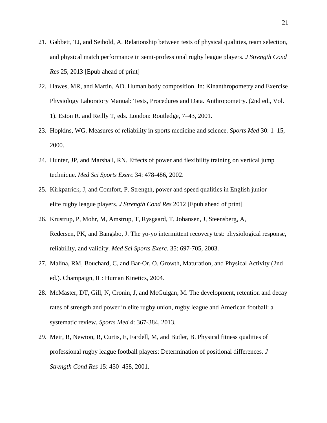- 21. Gabbett, TJ, and Seibold, A. Relationship between tests of physical qualities, team selection, and physical match performance in semi-professional rugby league players. *J Strength Cond Res* 25, 2013 [Epub ahead of print]
- 22. Hawes, MR, and Martin, AD. Human body composition. In: Kinanthropometry and Exercise Physiology Laboratory Manual: Tests, Procedures and Data. Anthropometry. (2nd ed., Vol. 1). Eston R. and Reilly T, eds. London: Routledge, 7–43, 2001.
- 23. Hopkins, WG. Measures of reliability in sports medicine and science. *Sports Med* 30: 1–15, 2000.
- 24. Hunter, JP, and Marshall, RN. Effects of power and flexibility training on vertical jump technique. *Med Sci Sports Exerc* 34: 478-486, 2002.
- 25. Kirkpatrick, J, and Comfort, P. Strength, power and speed qualities in English junior elite rugby league players. *J Strength Cond Res* 2012 [Epub ahead of print]
- 26. Krustrup, P, Mohr, M, Amstrup, T, Rysgaard, T, Johansen, J, Steensberg, A, Redersen, PK, and Bangsbo, J. The yo-yo intermittent recovery test: physiological response, reliability, and validity. *Med Sci Sports Exerc*. 35: 697-705, 2003.
- 27. Malina, RM, Bouchard, C, and Bar-Or, O. Growth, Maturation, and Physical Activity (2nd ed.). Champaign, IL: Human Kinetics, 2004.
- 28. [McMaster,](http://www.ncbi.nlm.nih.gov/pubmed?term=McMaster%20DT%5BAuthor%5D&cauthor=true&cauthor_uid=23529287) DT, [Gill,](http://www.ncbi.nlm.nih.gov/pubmed?term=Gill%20N%5BAuthor%5D&cauthor=true&cauthor_uid=23529287) N, [Cronin,](http://www.ncbi.nlm.nih.gov/pubmed?term=Cronin%20J%5BAuthor%5D&cauthor=true&cauthor_uid=23529287) J, and [McGuigan,](http://www.ncbi.nlm.nih.gov/pubmed?term=McGuigan%20M%5BAuthor%5D&cauthor=true&cauthor_uid=23529287) M. The development, retention and decay rates of strength and power in elite rugby union, rugby league and American football: a systematic review. *[Sports Med](http://www.ncbi.nlm.nih.gov/pubmed/23529287)* 4: 367-384, 2013.
- 29. Meir, R, Newton, R, Curtis, E, Fardell, M, and Butler, B. Physical fitness qualities of professional rugby league football players: Determination of positional differences. *J Strength Cond Res* 15: 450–458, 2001.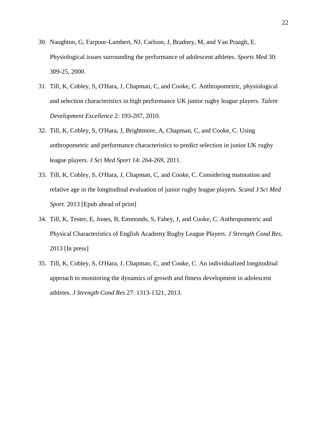- 30. [Naughton,](http://www.ncbi.nlm.nih.gov/pubmed?term=Naughton%20G%5BAuthor%5D&cauthor=true&cauthor_uid=11103846) G, [Farpour-Lambert,](http://www.ncbi.nlm.nih.gov/pubmed?term=Farpour-Lambert%20NJ%5BAuthor%5D&cauthor=true&cauthor_uid=11103846) NJ, [Carlson,](http://www.ncbi.nlm.nih.gov/pubmed?term=Carlson%20J%5BAuthor%5D&cauthor=true&cauthor_uid=11103846) J, [Bradney,](http://www.ncbi.nlm.nih.gov/pubmed?term=Bradney%20M%5BAuthor%5D&cauthor=true&cauthor_uid=11103846) M, and [Van Praagh,](http://www.ncbi.nlm.nih.gov/pubmed?term=Van%20Praagh%20E%5BAuthor%5D&cauthor=true&cauthor_uid=11103846) E. Physiological issues surrounding the performance of adolescent athletes. *[Sports Med](http://www.ncbi.nlm.nih.gov/pubmed/11103846)* 30: 309-25, 2000.
- 31. Till, K, Cobley, S, O'Hara, J, Chapman, C, and Cooke, C. Anthropometric, physiological and selection characteristics in high performance UK junior rugby league players. *Talent Development Excellence* 2: 193-207, 2010.
- 32. Till, K, Cobley, S, O'Hara, J, Brightmore, A, Chapman, C, and Cooke, C. Using anthropometric and performance characteristics to predict selection in junior UK rugby league players. *J Sci Med Sport* 14: 264-269, 2011.
- 33. Till, K, Cobley, S, O'Hara, J, Chapman, C, and Cooke, C. Considering maturation and relative age in the longitudinal evaluation of junior rugby league players. *Scand J Sci Med Sport.* 2013 [Epub ahead of print]
- 34. Till, K, Tester, E, Jones, B, Emmonds, S, Fahey, J, and Cooke, C. Anthropometric and Physical Characteristics of English Academy Rugby League Players. *J Strength Cond Res,*  2013 [In press]
- 35. Till, K, Cobley, S, O'Hara, J, Chapman, C, and Cooke, C. An individualized longitudinal approach to monitoring the dynamics of growth and fitness development in adolescent athletes. *J Strength Cond Res* 27: 1313-1321, 2013.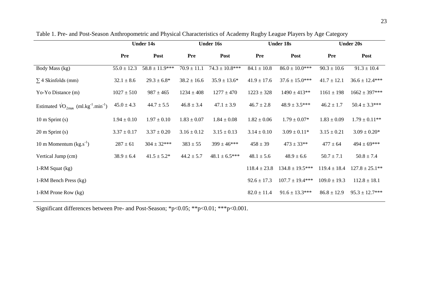|                                                                      | <b>Under 14s</b> |                    | <b>Under 16s</b> |                    | <b>Under 18s</b> |                     | <b>Under 20s</b> |                    |
|----------------------------------------------------------------------|------------------|--------------------|------------------|--------------------|------------------|---------------------|------------------|--------------------|
|                                                                      | Pre              | Post               | Pre              | Post               | Pre              | Post                | Pre              | Post               |
| Body Mass (kg)                                                       | $55.0 \pm 12.3$  | $58.8 \pm 11.9***$ | $70.9 \pm 11.1$  | $74.3 \pm 10.8***$ | $84.1 \pm 10.8$  | $86.0 \pm 10.0$ *** | $90.3 \pm 10.6$  | $91.3 \pm 10.4$    |
| $\Sigma$ 4 Skinfolds (mm)                                            | $32.1 \pm 8.6$   | $29.3 \pm 6.8^*$   | $38.2 \pm 16.6$  | $35.9 \pm 13.6^*$  | $41.9 \pm 17.6$  | $37.6 \pm 15.0***$  | $41.7 \pm 12.1$  | $36.6 \pm 12.4***$ |
| Yo-Yo Distance (m)                                                   | $1027 \pm 510$   | $987 \pm 465$      | $1234 \pm 408$   | $1277 \pm 470$     | $1223 \pm 328$   | $1490 \pm 413**$    | $1161 \pm 198$   | $1662 \pm 397***$  |
| Estimated $\rm{VO_{2max}}$ (ml.kg <sup>-1</sup> .min <sup>-1</sup> ) | $45.0 \pm 4.3$   | $44.7 \pm 5.5$     | $46.8 \pm 3.4$   | $47.1 \pm 3.9$     | $46.7 \pm 2.8$   | $48.9 \pm 3.5***$   | $46.2 \pm 1.7$   | $50.4 \pm 3.3***$  |
| $10 \text{ m}$ Sprint (s)                                            | $1.94 \pm 0.10$  | $1.97 \pm 0.10$    | $1.83 \pm 0.07$  | $1.84 \pm 0.08$    | $1.82 \pm 0.06$  | $1.79 \pm 0.07*$    | $1.83 \pm 0.09$  | $1.79 \pm 0.11$ ** |
| $20 \text{ m}$ Sprint (s)                                            | $3.37 \pm 0.17$  | $3.37 \pm 0.20$    | $3.16 \pm 0.12$  | $3.15 \pm 0.13$    | $3.14 \pm 0.10$  | $3.09 \pm 0.11*$    | $3.15 \pm 0.21$  | $3.09 \pm 0.20*$   |
| 10 m Momentum $(kg.s-1)$                                             | $287 \pm 61$     | $304 \pm 32***$    | $383 \pm 55$     | $399 \pm 46$ ***   | $458 \pm 39$     | $473 \pm 33**$      | $477 \pm 64$     | $494 \pm 69***$    |
| Vertical Jump (cm)                                                   | $38.9 \pm 6.4$   | $41.5 \pm 5.2^*$   | $44.2 \pm 5.7$   | $48.1 \pm 6.5***$  | $48.1 \pm 5.6$   | $48.9 \pm 6.6$      | $50.7 \pm 7.1$   | $50.8 \pm 7.4$     |
| 1-RM Squat (kg)                                                      |                  |                    |                  |                    | $118.4 \pm 23.8$ | $134.8 \pm 19.5***$ | $119.4 \pm 18.4$ | $127.8 \pm 25.1**$ |
| 1-RM Bench Press (kg)                                                |                  |                    |                  |                    | $92.6 \pm 17.3$  | $107.7 \pm 19.4***$ | $109.0 \pm 19.3$ | $112.8 \pm 18.1$   |
| 1-RM Prone Row (kg)                                                  |                  |                    |                  |                    | $82.0 \pm 11.4$  | $91.6 \pm 13.3***$  | $86.8 \pm 12.9$  | $95.3 \pm 12.7***$ |

Table 1. Pre- and Post-Season Anthropometric and Physical Characteristics of Academy Rugby League Players by Age Category

Significant differences between Pre- and Post-Season; \*p<0.05; \*\*p<0.01; \*\*\*p<0.001.